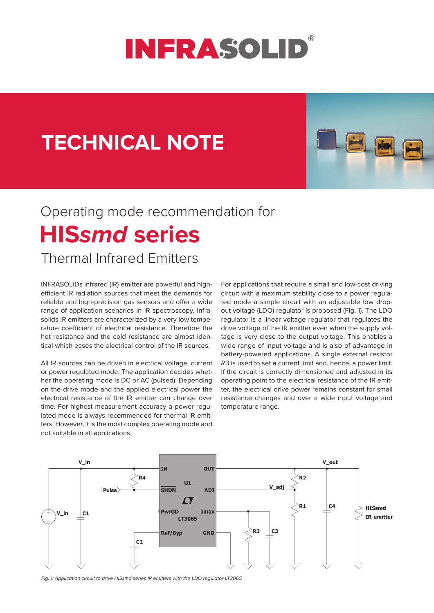

## **TECHNICAL NOTE**



## **HIS***smd* **series** Operating mode recommendation for

## Thermal Infrared Emitters

INFRASOLIDs infrared (IR) emitter are powerful and highefficient IR radiation sources that meet the demands for reliable and high-precision gas sensors and offer a wide range of application scenarios in IR spectroscopy. Infrasolids IR emitters are characterized by a very low temperature coefficient of electrical resistance. Therefore the hot resistance and the cold resistance are almost identical which eases the electrical control of the IR sources.

All IR sources can be driven in electrical voltage, current or power regulated mode. The application decides whether the operating mode is DC or AC (pulsed). Depending on the drive mode and the applied electrical power the electrical resistance of the IR emitter can change over time. For highest measurement accuracy a power regulated mode is always recommended for thermal IR emitters. However, it is the most complex operating mode and not suitable in all applications.

For applications that require a small and low-cost driving circuit with a maximum stability close to a power regulated mode a simple circuit with an adjustable low dropout voltage (LDO) regulator is proposed (Fig. 1). The LDO regulator is a linear voltage regulator that regulates the drive voltage of the IR emitter even when the supply voltage is very close to the output voltage. This enables a wide range of input voltage and is also of advantage in battery-powered applications. A single external resistor *R*3 is used to set a current limit and, hence, a power limit. If the circuit is correctly dimensioned and adjusted in its operating point to the electrical resistance of the IR emitter, the electrical drive power remains constant for small resistance changes and over a wide input voltage and temperature range.



*Fig. 1: Application circuit to drive HISsmd series IR emitters with the LDO regulator LT3065*